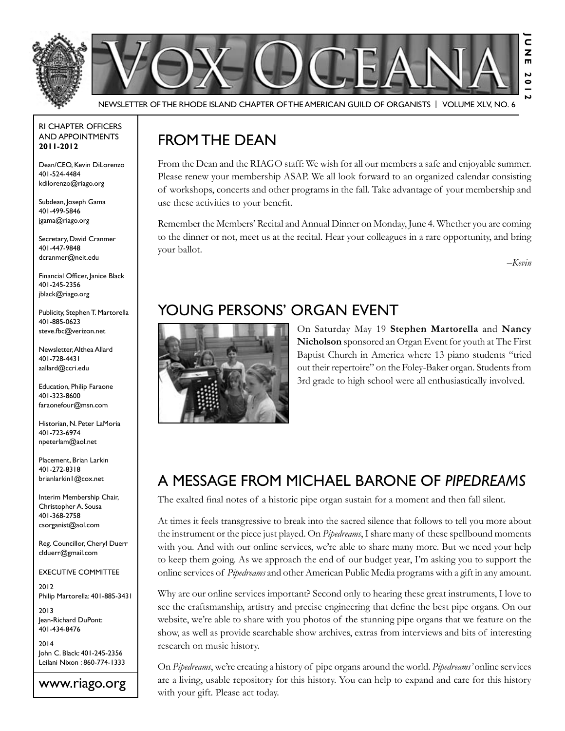

RI Chapter Officers and Appointments **2011-2012**

Dean/CEO, Kevin DiLorenzo 401-524-4484 kdilorenzo@riago.org

Subdean, Joseph Gama 401-499-5846 jgama@riago.org

Secretary, David Cranmer 401-447-9848 dcranmer@neit.edu

Financial Officer, Janice Black 401-245-2356 jblack@riago.org

Publicity, Stephen T. Martorella 401-885-0623 steve.fbc@verizon.net

Newsletter, Althea Allard 401-728-4431 aallard@ccri.edu

Education, Philip Faraone 401-323-8600 faraonefour@msn.com

Historian, N. Peter LaMoria 401-723-6974 npeterlam@aol.net

Placement, Brian Larkin 401-272-8318 brianlarkin1@cox.net

Interim Membership Chair, Christopher A. Sousa 401-368-2758 csorganist@aol.com

Reg. Councillor, Cheryl Duerr clduerr@gmail.com

Executive Committee

2012 Philip Martorella: 401-885-3431

2013 Jean-Richard DuPont: 401-434-8476

2014 John C. Black: 401-245-2356 Leilani Nixon : 860-774-1333

www.riago.org

### FROM THE DEAN

From the Dean and the RIAGO staff: We wish for all our members a safe and enjoyable summer. Please renew your membership ASAP. We all look forward to an organized calendar consisting of workshops, concerts and other programs in the fall. Take advantage of your membership and use these activities to your benefit.

Remember the Members' Recital and Annual Dinner on Monday, June 4. Whether you are coming to the dinner or not, meet us at the recital. Hear your colleagues in a rare opportunity, and bring your ballot.

*–Kevin*

# Young Persons' Organ Event



On Saturday May 19 **Stephen Martorella** and **Nancy Nicholson** sponsored an Organ Event for youth at The First Baptist Church in America where 13 piano students "tried out their repertoire" on the Foley-Baker organ. Students from 3rd grade to high school were all enthusiastically involved.

### A message from Michael Barone of *Pipedreams*

The exalted final notes of a historic pipe organ sustain for a moment and then fall silent.

At times it feels transgressive to break into the sacred silence that follows to tell you more about the instrument or the piece just played. On *Pipedreams*, I share many of these spellbound moments with you. And with our online services, we're able to share many more. But we need your help to keep them going. As we approach the end of our budget year, I'm asking you to support the online services of *Pipedreams* and other American Public Media programs with a gift in any amount.

Why are our online services important? Second only to hearing these great instruments, I love to see the craftsmanship, artistry and precise engineering that define the best pipe organs. On our website, we're able to share with you photos of the stunning pipe organs that we feature on the show, as well as provide searchable show archives, extras from interviews and bits of interesting research on music history.

On *Pipedreams*, we're creating a history of pipe organs around the world. *Pipedreams'* online services are a living, usable repository for this history. You can help to expand and care for this history with your gift. Please act today.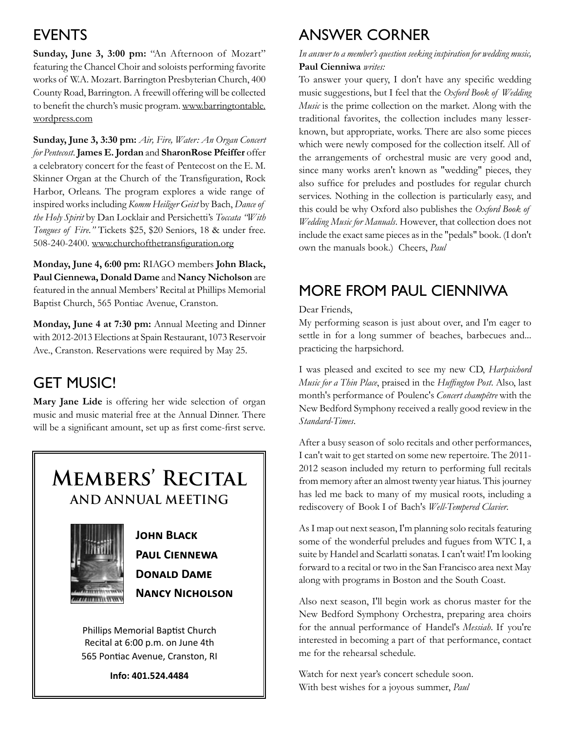### **EVENTS**

**Sunday, June 3, 3:00 pm:** "An Afternoon of Mozart" featuring the Chancel Choir and soloists performing favorite works of W.A. Mozart. Barrington Presbyterian Church, 400 County Road, Barrington. A freewill offering will be collected to benefit the church's music program. www.barringtontable. wordpress.com

**Sunday, June 3, 3:30 pm:** *Air, Fire, Water: An Organ Concert for Pentecost*. **James E. Jordan** and **SharonRose Pfeiffer** offer a celebratory concert for the feast of Pentecost on the E. M. Skinner Organ at the Church of the Transfiguration, Rock Harbor, Orleans. The program explores a wide range of inspired works including *Komm Heiliger Geist* by Bach, *Dance of the Holy Spirit* by Dan Locklair and Persichetti's *Toccata "With Tongues of Fire."* Tickets \$25, \$20 Seniors, 18 & under free. 508-240-2400. www.churchofthetransfiguration.org

**Monday, June 4, 6:00 pm:** RIAGO members **John Black, Paul Ciennewa, Donald Dame** and **Nancy Nicholson** are featured in the annual Members' Recital at Phillips Memorial Baptist Church, 565 Pontiac Avenue, Cranston.

**Monday, June 4 at 7:30 pm:** Annual Meeting and Dinner with 2012-2013 Elections at Spain Restaurant, 1073 Reservoir Ave., Cranston. Reservations were required by May 25.

# **GET MUSIC!**

**Mary Jane Lide** is offering her wide selection of organ music and music material free at the Annual Dinner. There will be a significant amount, set up as first come-first serve.

# **Members' Recital and Annual Meeting**



 **John Black Paul Ciennewa Donald Dame** *MANCY* **NANCY NICHOLSON** 

Phillips Memorial Baptist Church Recital at 6:00 p.m. on June 4th 565 Pontiac Avenue, Cranston, RI

**Info: 401.524.4484**

### Answer Corner

#### *In answer to a member's question seeking inspiration for wedding music,*  **Paul Cienniwa** *writes:*

To answer your query, I don't have any specific wedding music suggestions, but I feel that the *Oxford Book of Wedding Music* is the prime collection on the market. Along with the traditional favorites, the collection includes many lesserknown, but appropriate, works. There are also some pieces which were newly composed for the collection itself. All of the arrangements of orchestral music are very good and, since many works aren't known as "wedding" pieces, they also suffice for preludes and postludes for regular church services. Nothing in the collection is particularly easy, and this could be why Oxford also publishes the *Oxford Book of Wedding Music for Manuals*. However, that collection does not include the exact same pieces as in the "pedals" book. (I don't own the manuals book.) Cheers, *Paul*

### More from Paul Cienniwa

#### Dear Friends,

My performing season is just about over, and I'm eager to settle in for a long summer of beaches, barbecues and... practicing the harpsichord.

I was pleased and excited to see my new CD, *Harpsichord Music for a Thin Place*, praised in the *Huffington Post*. Also, last month's performance of Poulenc's *Concert champêtre* with the New Bedford Symphony received a really good review in the *Standard-Times*.

After a busy season of solo recitals and other performances, I can't wait to get started on some new repertoire. The 2011- 2012 season included my return to performing full recitals from memory after an almost twenty year hiatus. This journey has led me back to many of my musical roots, including a rediscovery of Book I of Bach's *Well-Tempered Clavier*.

As I map out next season, I'm planning solo recitals featuring some of the wonderful preludes and fugues from WTC I, a suite by Handel and Scarlatti sonatas. I can't wait! I'm looking forward to a recital or two in the San Francisco area next May along with programs in Boston and the South Coast.

Also next season, I'll begin work as chorus master for the New Bedford Symphony Orchestra, preparing area choirs for the annual performance of Handel's *Messiah*. If you're interested in becoming a part of that performance, contact me for the rehearsal schedule.

Watch for next year's concert schedule soon. With best wishes for a joyous summer, *Paul*